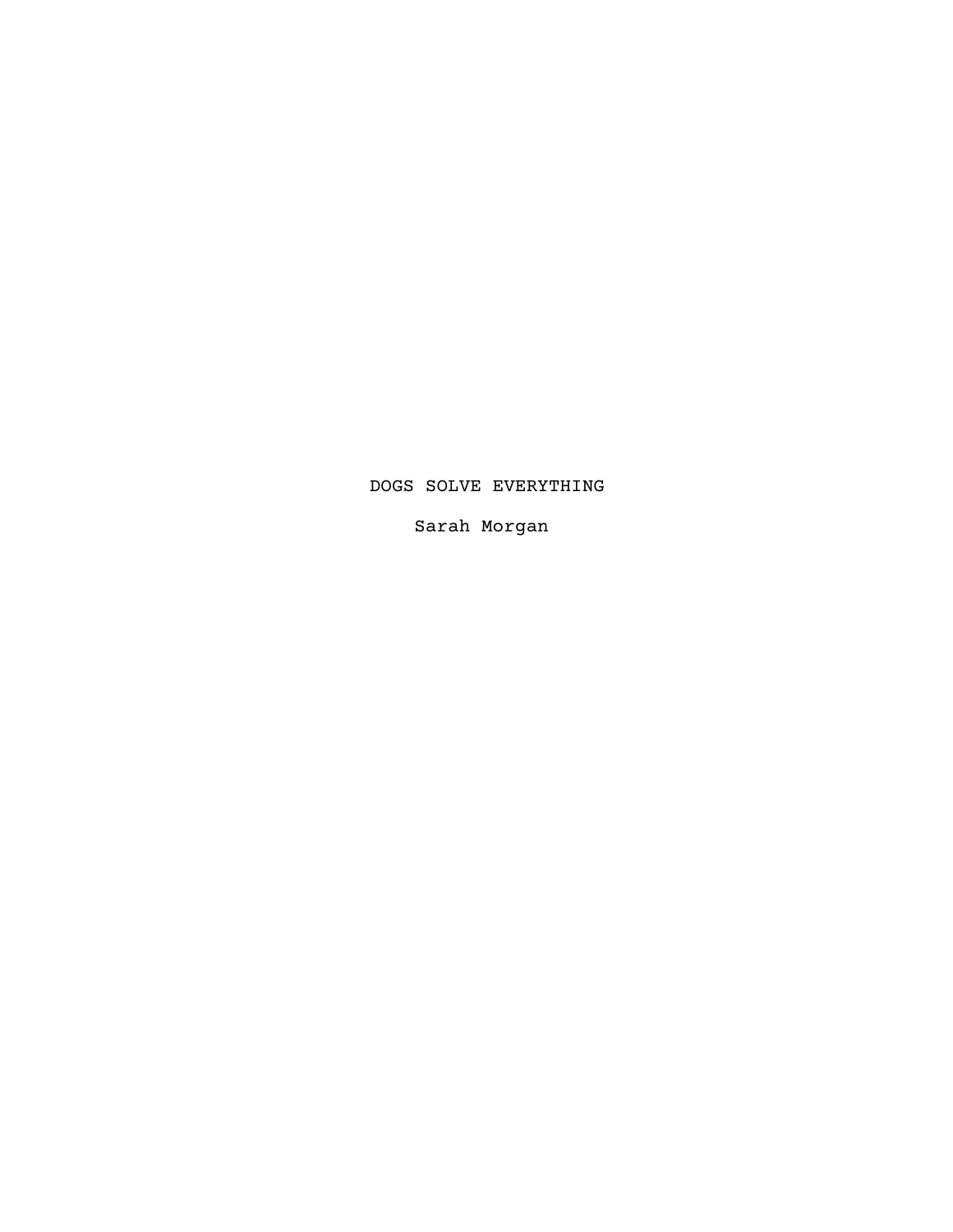# DOGS SOLVE EVERYTHING

Sarah Morgan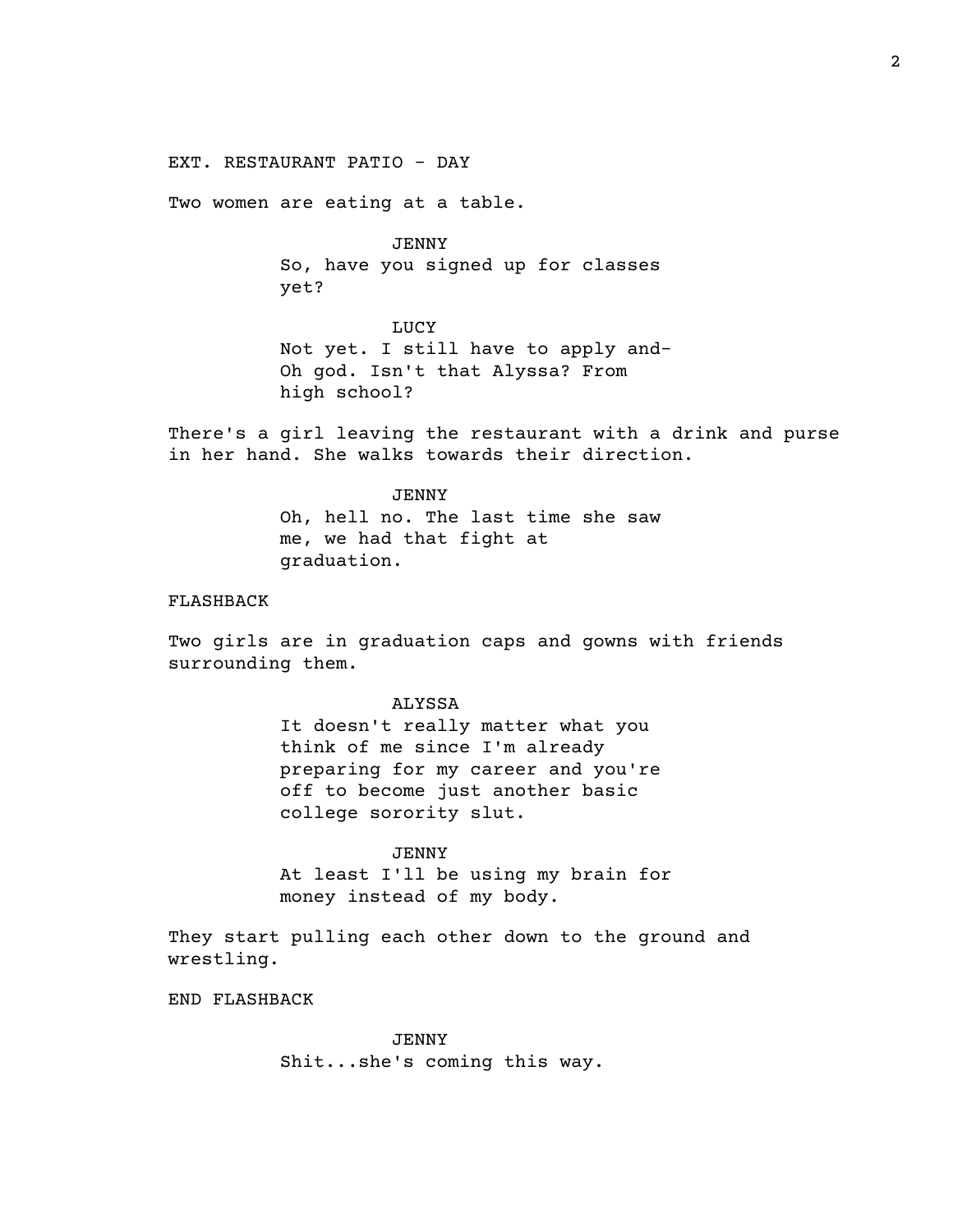EXT. RESTAURANT PATIO - DAY

Two women are eating at a table.

JENNY So, have you signed up for classes yet?

LUCY Not yet. I still have to apply and-Oh god. Isn't that Alyssa? From high school?

There's a girl leaving the restaurant with a drink and purse in her hand. She walks towards their direction.

# JENNY Oh, hell no. The last time she saw me, we had that fight at graduation.

# FLASHBACK

Two girls are in graduation caps and gowns with friends surrounding them.

## ALYSSA

It doesn't really matter what you think of me since I'm already preparing for my career and you're off to become just another basic college sorority slut.

JENNY At least I'll be using my brain for money instead of my body.

They start pulling each other down to the ground and wrestling.

END FLASHBACK

JENNY Shit...she's coming this way.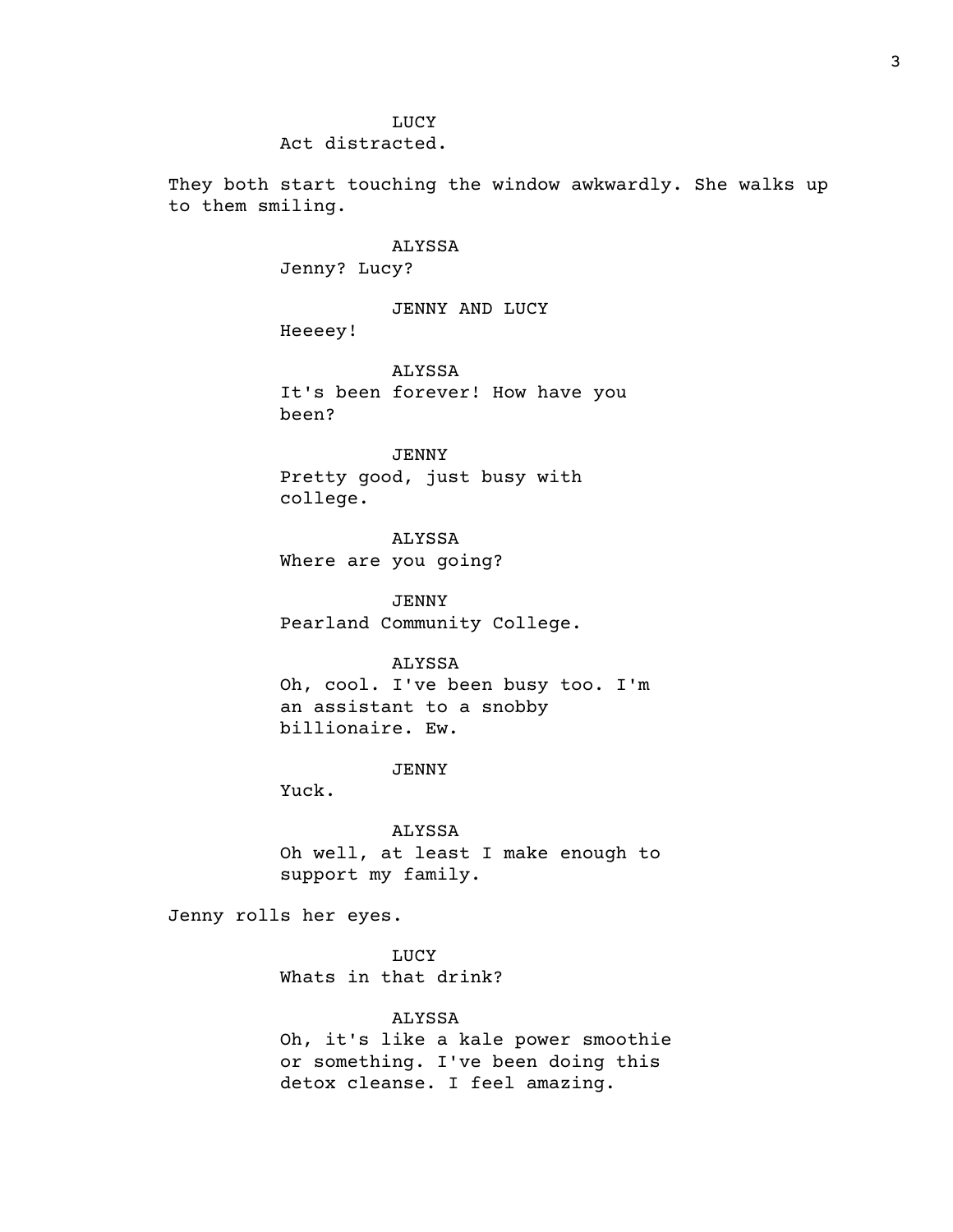# LUCY

Act distracted.

They both start touching the window awkwardly. She walks up to them smiling.

### ALYSSA

Jenny? Lucy?

JENNY AND LUCY

Heeeey!

ALYSSA It's been forever! How have you been?

JENNY Pretty good, just busy with college.

ALYSSA Where are you going?

JENNY Pearland Community College.

# ALYSSA

Oh, cool. I've been busy too. I'm an assistant to a snobby billionaire. Ew.

# JENNY

Yuck.

### ALYSSA

Oh well, at least I make enough to support my family.

Jenny rolls her eyes.

LUCY Whats in that drink?

# ALYSSA

Oh, it's like a kale power smoothie or something. I've been doing this detox cleanse. I feel amazing.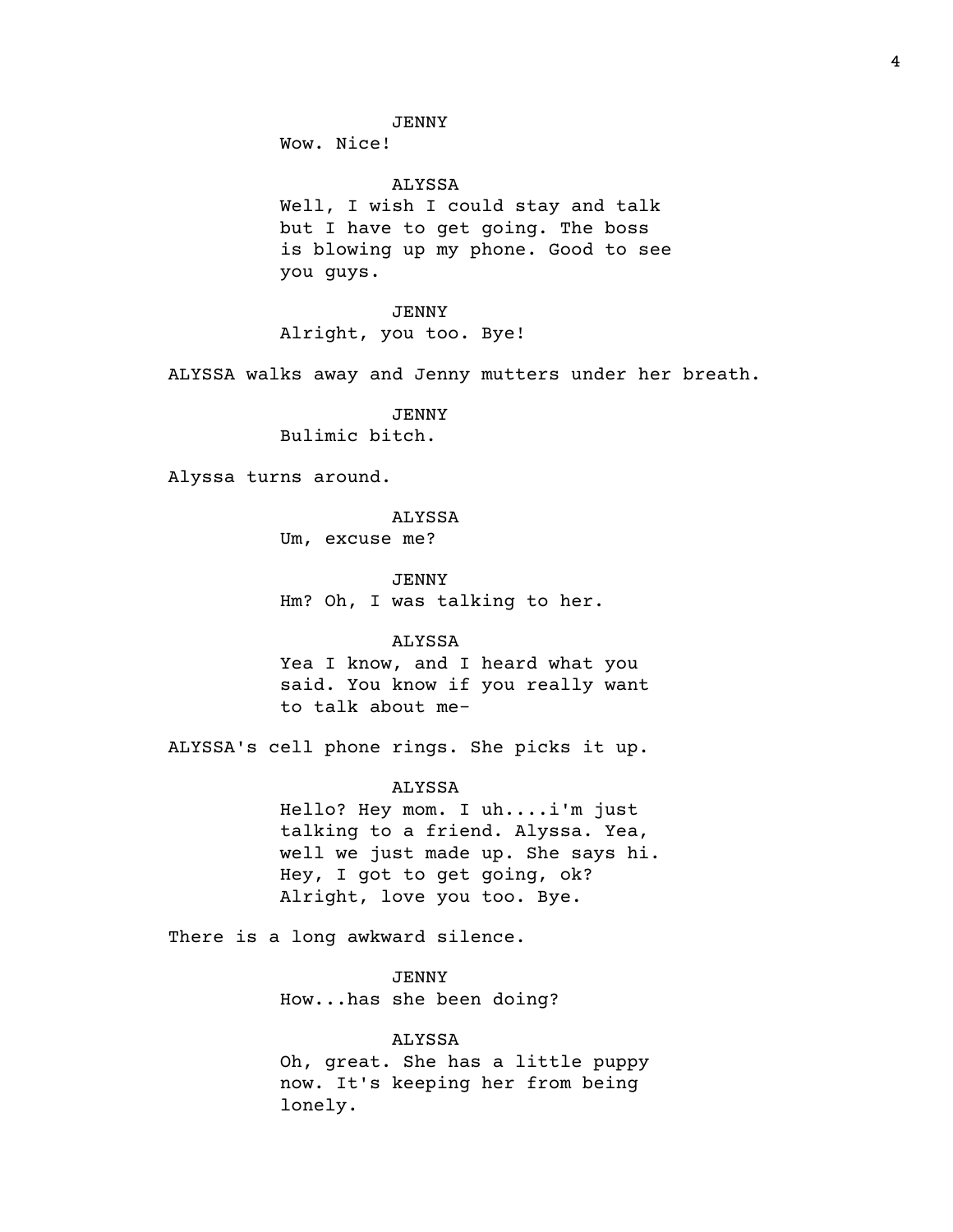JENNY

Wow. Nice!

ALYSSA Well, I wish I could stay and talk but I have to get going. The boss is blowing up my phone. Good to see you guys.

JENNY Alright, you too. Bye!

ALYSSA walks away and Jenny mutters under her breath.

JENNY Bulimic bitch.

Alyssa turns around.

#### ALYSSA

Um, excuse me?

JENNY

Hm? Oh, I was talking to her.

### ALYSSA

Yea I know, and I heard what you said. You know if you really want to talk about me-

ALYSSA's cell phone rings. She picks it up.

### ALYSSA

Hello? Hey mom. I uh....i'm just talking to a friend. Alyssa. Yea, well we just made up. She says hi. Hey, I got to get going, ok? Alright, love you too. Bye.

There is a long awkward silence.

JENNY How...has she been doing?

### ALYSSA

Oh, great. She has a little puppy now. It's keeping her from being lonely.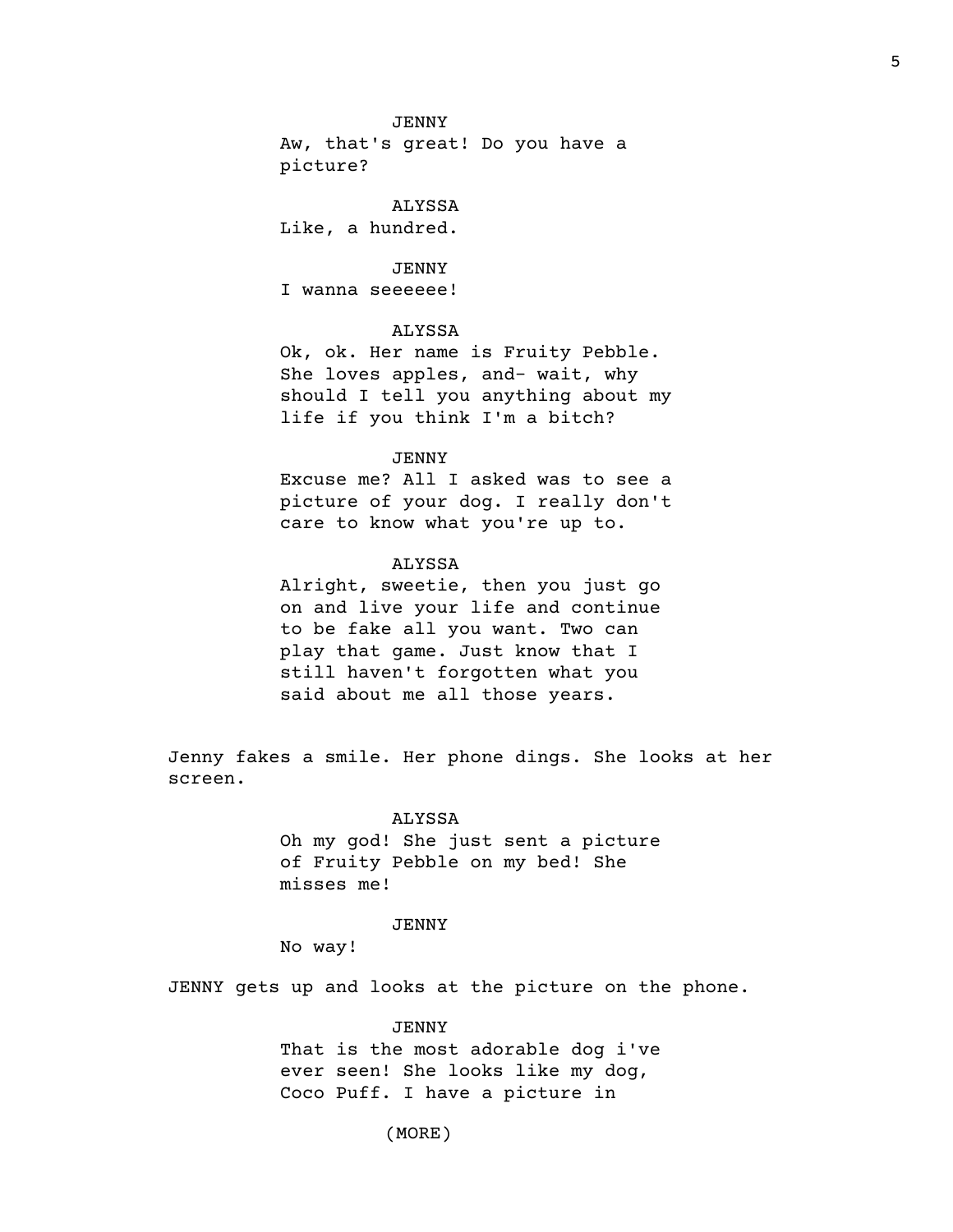### JENNY

Aw, that's great! Do you have a picture?

ALYSSA Like, a hundred.

JENNY

I wanna seeeeee!

# ALYSSA

Ok, ok. Her name is Fruity Pebble. She loves apples, and- wait, why should I tell you anything about my life if you think I'm a bitch?

### JENNY

Excuse me? All I asked was to see a picture of your dog. I really don't care to know what you're up to.

# ALYSSA

Alright, sweetie, then you just go on and live your life and continue to be fake all you want. Two can play that game. Just know that I still haven't forgotten what you said about me all those years.

Jenny fakes a smile. Her phone dings. She looks at her screen.

#### ALYSSA

Oh my god! She just sent a picture of Fruity Pebble on my bed! She misses me!

# JENNY

No way!

JENNY gets up and looks at the picture on the phone.

#### JENNY

That is the most adorable dog i've ever seen! She looks like my dog, Coco Puff. I have a picture in

(MORE)